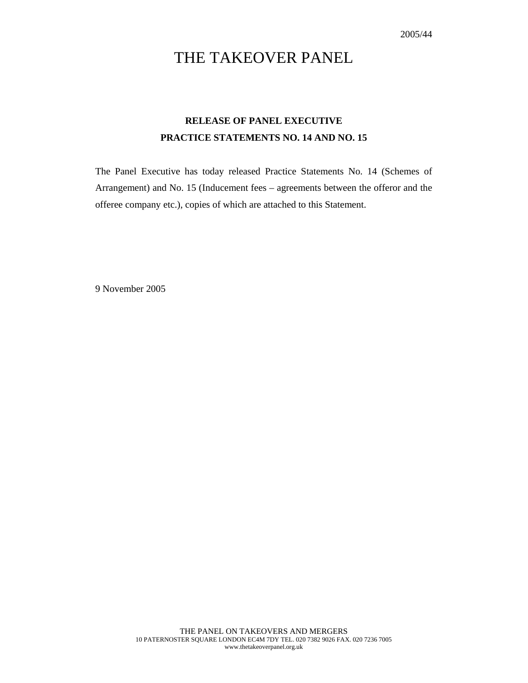# THE TAKEOVER PANEL

# **RELEASE OF PANEL EXECUTIVE PRACTICE STATEMENTS NO. 14 AND NO. 15**

The Panel Executive has today released Practice Statements No. 14 (Schemes of Arrangement) and No. 15 (Inducement fees – agreements between the offeror and the offeree company etc.), copies of which are attached to this Statement.

9 November 2005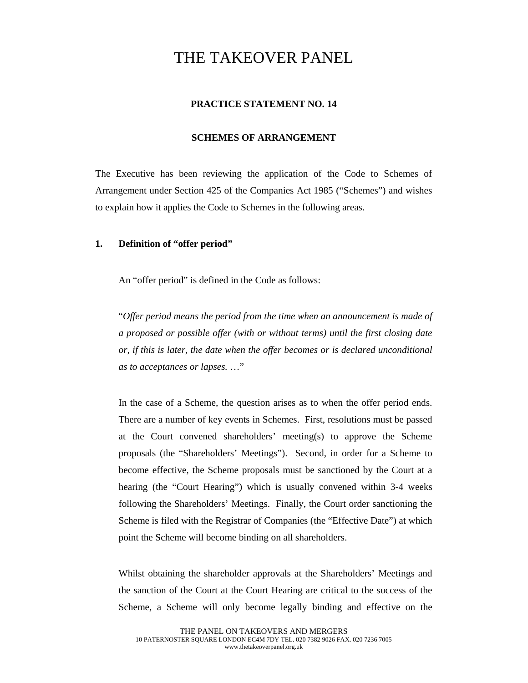# THE TAKEOVER PANEL

## **PRACTICE STATEMENT NO. 14**

### **SCHEMES OF ARRANGEMENT**

The Executive has been reviewing the application of the Code to Schemes of Arrangement under Section 425 of the Companies Act 1985 ("Schemes") and wishes to explain how it applies the Code to Schemes in the following areas.

### **1. Definition of "offer period"**

An "offer period" is defined in the Code as follows:

"*Offer period means the period from the time when an announcement is made of a proposed or possible offer (with or without terms) until the first closing date or, if this is later, the date when the offer becomes or is declared unconditional as to acceptances or lapses.* …"

In the case of a Scheme, the question arises as to when the offer period ends. There are a number of key events in Schemes. First, resolutions must be passed at the Court convened shareholders' meeting(s) to approve the Scheme proposals (the "Shareholders' Meetings"). Second, in order for a Scheme to become effective, the Scheme proposals must be sanctioned by the Court at a hearing (the "Court Hearing") which is usually convened within 3-4 weeks following the Shareholders' Meetings. Finally, the Court order sanctioning the Scheme is filed with the Registrar of Companies (the "Effective Date") at which point the Scheme will become binding on all shareholders.

Whilst obtaining the shareholder approvals at the Shareholders' Meetings and the sanction of the Court at the Court Hearing are critical to the success of the Scheme, a Scheme will only become legally binding and effective on the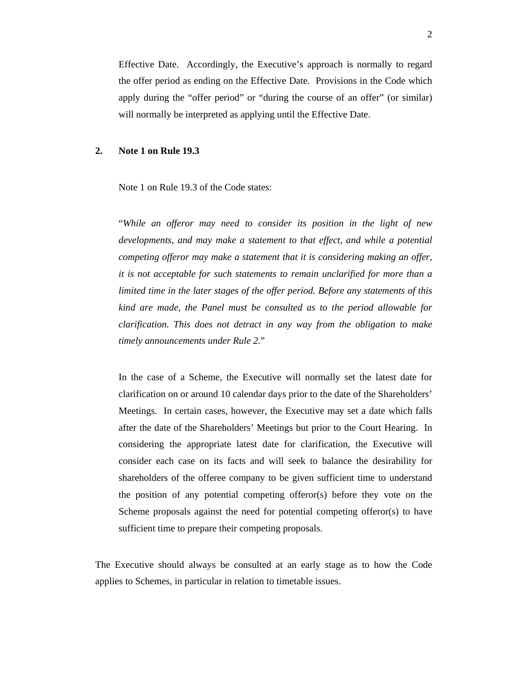Effective Date. Accordingly, the Executive's approach is normally to regard the offer period as ending on the Effective Date. Provisions in the Code which apply during the "offer period" or "during the course of an offer" (or similar) will normally be interpreted as applying until the Effective Date.

#### **2. Note 1 on Rule 19.3**

Note 1 on Rule 19.3 of the Code states:

"*While an offeror may need to consider its position in the light of new developments, and may make a statement to that effect, and while a potential competing offeror may make a statement that it is considering making an offer, it is not acceptable for such statements to remain unclarified for more than a limited time in the later stages of the offer period. Before any statements of this kind are made, the Panel must be consulted as to the period allowable for clarification. This does not detract in any way from the obligation to make timely announcements under Rule 2.*"

In the case of a Scheme, the Executive will normally set the latest date for clarification on or around 10 calendar days prior to the date of the Shareholders' Meetings. In certain cases, however, the Executive may set a date which falls after the date of the Shareholders' Meetings but prior to the Court Hearing. In considering the appropriate latest date for clarification, the Executive will consider each case on its facts and will seek to balance the desirability for shareholders of the offeree company to be given sufficient time to understand the position of any potential competing offeror(s) before they vote on the Scheme proposals against the need for potential competing offeror(s) to have sufficient time to prepare their competing proposals.

The Executive should always be consulted at an early stage as to how the Code applies to Schemes, in particular in relation to timetable issues.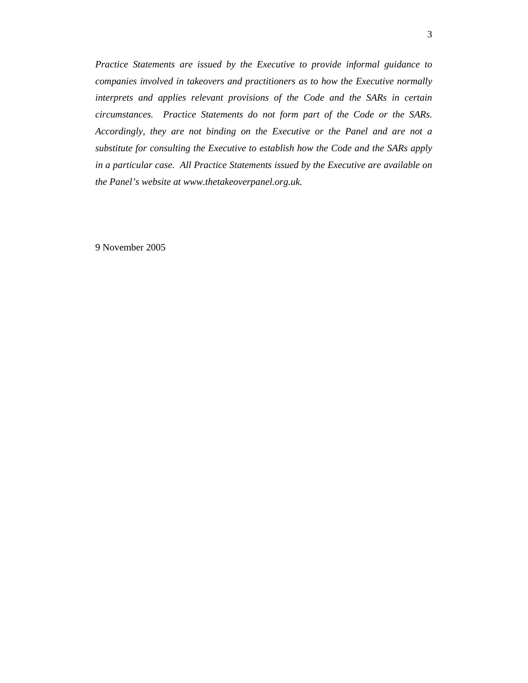*Practice Statements are issued by the Executive to provide informal guidance to companies involved in takeovers and practitioners as to how the Executive normally interprets and applies relevant provisions of the Code and the SARs in certain circumstances. Practice Statements do not form part of the Code or the SARs. Accordingly, they are not binding on the Executive or the Panel and are not a substitute for consulting the Executive to establish how the Code and the SARs apply in a particular case. All Practice Statements issued by the Executive are available on the Panel's website at www.thetakeoverpanel.org.uk.*

9 November 2005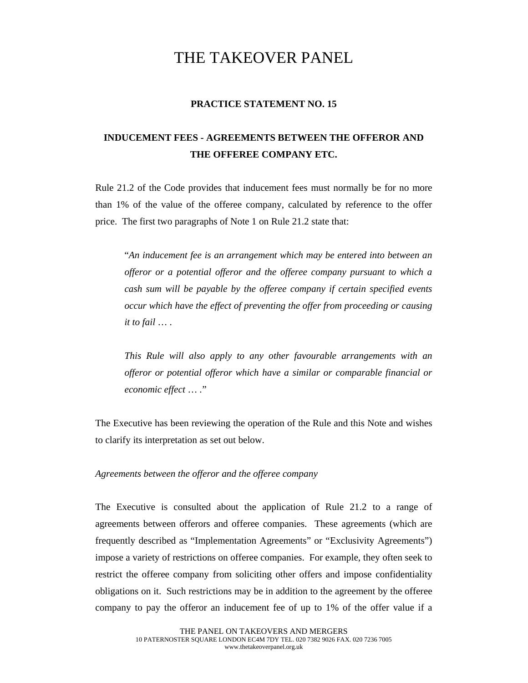# THE TAKEOVER PANEL

### **PRACTICE STATEMENT NO. 15**

## **INDUCEMENT FEES - AGREEMENTS BETWEEN THE OFFEROR AND THE OFFEREE COMPANY ETC.**

Rule 21.2 of the Code provides that inducement fees must normally be for no more than 1% of the value of the offeree company, calculated by reference to the offer price. The first two paragraphs of Note 1 on Rule 21.2 state that:

"*An inducement fee is an arrangement which may be entered into between an offeror or a potential offeror and the offeree company pursuant to which a cash sum will be payable by the offeree company if certain specified events occur which have the effect of preventing the offer from proceeding or causing it to fail* … *.* 

*This Rule will also apply to any other favourable arrangements with an offeror or potential offeror which have a similar or comparable financial or economic effect* … *.*"

The Executive has been reviewing the operation of the Rule and this Note and wishes to clarify its interpretation as set out below.

#### *Agreements between the offeror and the offeree company*

The Executive is consulted about the application of Rule 21.2 to a range of agreements between offerors and offeree companies. These agreements (which are frequently described as "Implementation Agreements" or "Exclusivity Agreements") impose a variety of restrictions on offeree companies. For example, they often seek to restrict the offeree company from soliciting other offers and impose confidentiality obligations on it. Such restrictions may be in addition to the agreement by the offeree company to pay the offeror an inducement fee of up to 1% of the offer value if a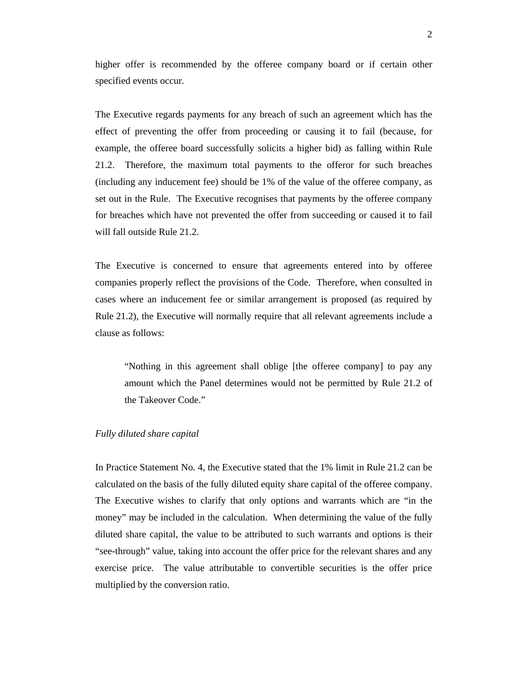higher offer is recommended by the offeree company board or if certain other specified events occur.

The Executive regards payments for any breach of such an agreement which has the effect of preventing the offer from proceeding or causing it to fail (because, for example, the offeree board successfully solicits a higher bid) as falling within Rule 21.2. Therefore, the maximum total payments to the offeror for such breaches (including any inducement fee) should be 1% of the value of the offeree company, as set out in the Rule. The Executive recognises that payments by the offeree company for breaches which have not prevented the offer from succeeding or caused it to fail will fall outside Rule 21.2.

The Executive is concerned to ensure that agreements entered into by offeree companies properly reflect the provisions of the Code. Therefore, when consulted in cases where an inducement fee or similar arrangement is proposed (as required by Rule 21.2), the Executive will normally require that all relevant agreements include a clause as follows:

"Nothing in this agreement shall oblige [the offeree company] to pay any amount which the Panel determines would not be permitted by Rule 21.2 of the Takeover Code."

#### *Fully diluted share capital*

In Practice Statement No. 4, the Executive stated that the 1% limit in Rule 21.2 can be calculated on the basis of the fully diluted equity share capital of the offeree company. The Executive wishes to clarify that only options and warrants which are "in the money" may be included in the calculation. When determining the value of the fully diluted share capital, the value to be attributed to such warrants and options is their "see-through" value, taking into account the offer price for the relevant shares and any exercise price. The value attributable to convertible securities is the offer price multiplied by the conversion ratio.